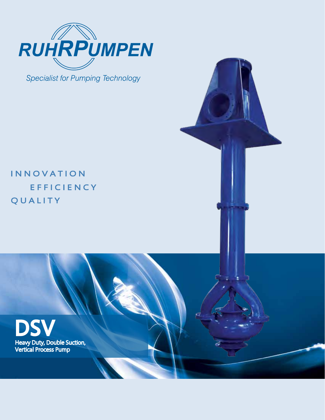

**Specialist for Pumping Technology** 

# **INNOVATION EFFICIENCY QUALITY**

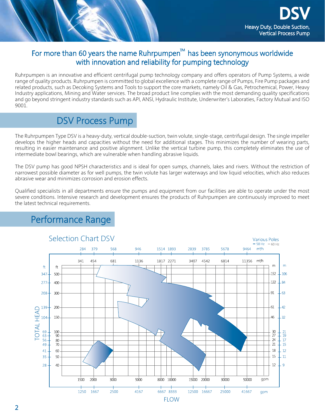

## For more than 60 years the name Ruhrpumpen<sup> $m$ </sup> has been synonymous worldwide with innovation and reliability for pumping technology

Ruhrpumpen is an innovative and efficient centrifugal pump technology company and offers operators of Pump Systems, a wide range of quality products. Ruhrpumpen is committed to global excellence with a complete range of Pumps, Fire Pump packages and related products, such as Decoking Systems and Tools to support the core markets, namely Oil & Gas, Petrochemical, Power, Heavy Industry applications, Mining and Water services. The broad product line complies with the most demanding quality specifications and go beyond stringent industry standards such as API, ANSI, Hydraulic Institute, Underwriter's Laboraties, Factory Mutual and ISO 9001.

# DSV Process Pump

The Ruhrpumpen Type DSV is a heavy-duty, vertical double-suction, twin volute, single-stage, centrifugal design. The single impeller develops the higher heads and capacities without the need for additional stages. This minimizes the number of wearing parts, resulting in easier maintenance and positive alignment. Unlike the vertical turbine pump, this completely eliminates the use of intermediate bowl bearings, which are vulnerable when handling abrasive liquids.

The DSV pump has good NPSH characteristics and is ideal for open sumps, channels, lakes and rivers. Without the restriction of narrowest possible diameter as for well pumps, the twin volute has larger waterways and low liquid velocities, which also reduces abrasive wear and minimizes corrosion and erosion effects.

Qualified specialists in all departments ensure the pumps and equipment from our facilities are able to operate under the most severe conditions. Intensive research and development ensures the products of Ruhrpumpen are continuously improved to meet the latest technical requirements.



# Performance Range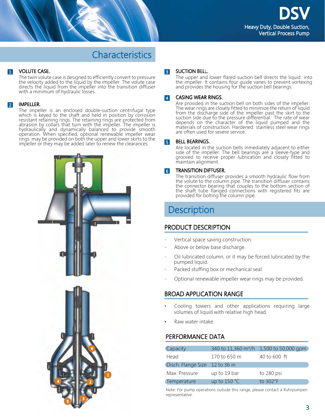## **Characteristics**

### 1 VOLUTE CASE.

The twin volute case is designed to efficiently convert to pressure the velocity added to the liquid by the impeller. The volute case directs the liquid from the impeller into the transition diffuser with a minimum of hydraulic losses.

### 2 IMPELLER.

The impeller is an enclosed double-suction centrifugal type which is keyed to the shaft and held in position by corrosion resistant retaining rings. The retaining rings are protected from abrasion by collars that turn with the impeller. The impeller is hydraulically and dynamically balanced to provide smooth operation. When specified, optional renewable impeller wear rings may be provided on both the upper and lower skirts to the impeller or they may be added later to renew the clearances.



#### SUCTION BELL. 3

The upper and lower flared suction bell directs the liquid into the impeller. It contains four guide vanes to prevent vortexing and provides the housing for the suction bell bearings.

#### Casing Wear Rings. 4

Are provided in the suction bell on both sides of the impeller. The wear rings are closely fitted to minimize the return of liquid from the discharge side of the impeller past the skirt to the suction side due to the pressure differential. The rate of wear depends on the character of the liquid pumped and the materials of construction. Hardened stainless steel wear rings are often used for severe service.

#### Bell Bearings. 5

Are located in the suction bells inmediately adjacent to either side of the impeller. The bell bearings are a sleeve-type and grooved to receive proper lubrication and closely fitted to maintain alignment.

#### Transition Diffuser. 6

The transition diffuser provides a smooth hydraulic flow from the volute to the column pipe. The transition diffuser contains the connector bearing that couples to the bottom section of the shaft tube flanged connections with registered fits are provided for bolting the column pipe.

## **Description**

## PRODUCT DESCRIPTION

- Vertical space saving construction.
- Above or below base discharge.
- Oil lubricated column, or it may be forced lubricated by the pumped liquid.
- Packed stuffing box or mechanical seal.
- Optional renewable impeller wear rings may be provided.

## Broad application range

- Cooling towers and other applications requiring large volumes of liquid with relative high head.
- Raw water intake.

## PERFORMANCE DATA

| Capacity                       | 340 to 11,360 m <sup>3</sup> /h | 1,500 to 50,000 gpm |
|--------------------------------|---------------------------------|---------------------|
| Head                           | 170 to 650 m                    | 40 to 600 ft        |
| Disch. Flange Size 12 to 36 in |                                 |                     |
| Max. Pressure                  | up to 19 bar                    | to 280 psi          |
| Temperature                    | up to $150 °C$                  | to $302^{\circ}F$   |

Note: For pump operations outside this range, please contact a Ruhrpumpen representative.